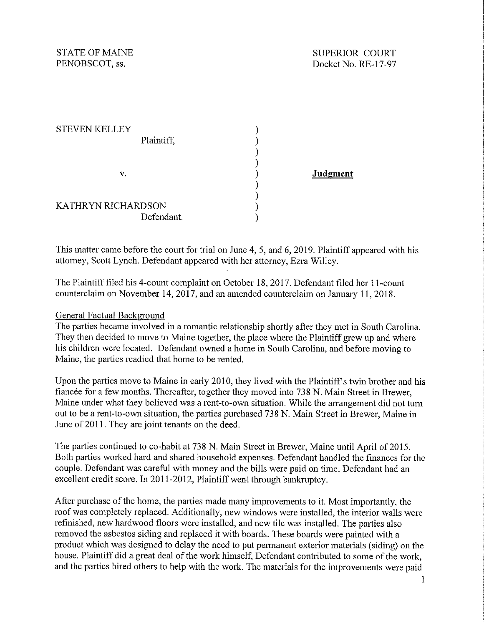STATE OF MAINE<br>
PENOBSCOT, ss.<br>
Docket No. RE-17-97 Docket No. RE-17-97

| <b>STEVEN KELLEY</b> |  |
|----------------------|--|
| Plaintiff,           |  |
|                      |  |
|                      |  |
| v.                   |  |
|                      |  |
|                      |  |
| KATHRYN RICHARDSON   |  |
| Defendant.           |  |

**Judgment** 

This matter came before the court for trial on June 4, 5, and 6, 2019. Plaintiff appeared with his attorney, Scott Lynch. Defendant appeared with her attorney, Ezra Willey.

The Plaintiff filed his 4-count complaint on October 18, 2017. Defendant filed her I I-count counterclaim on November 14,  $2017$ , and an amended counterclaim on January 11, 2018.

#### General Factual Background

The parties became involved in a romantic relationship shortly after they met in South Carolina. They then decided to move to Maine together, the place where the Plaintiff grew up and where his children were located. Defendant owned a home in South Carolina, and before moving to Maine, the parties readied that home to be rented.

Upon the parties move to Maine in early 2010, they lived with the Plaintiff's twin brother and his fiancée for a few months. Thereafter, together they moved into 738 N. Main Street in Brewer, Maine under what they believed was a rent-to-own situation. While the arrangement did not turn out to be a rent-to-own situation, the parties purchased 738 N. Main Street in Brewer, Maine in June of 2011. They are joint tenants on the deed.

The parties continued to co-habit at 738 N. Main Street in Brewer, Maine until April of 2015. Both parties worked hard and shared household expenses. Defendant handled the finances for the couple. Defendant was careful with money and the bills were paid on time. Defendant had an excellent credit score. In 2011-2012, Plaintiff went through bankruptcy.

After purchase of the home, the parties made many improvements to it. Most importantly, the roof was completely replaced. Additionally, new windows were installed, the interior walls were refinished, new hardwood floors were installed, and new tile was installed. The parties also removed the asbestos siding and replaced it with boards. These boards were painted with a product which was designed to delay the need to put permanent exterior materials (siding) on the house. Plaintiff did a great deal of the work himself, Defendant contributed to some of the work, and the parties hired others to help with the work. The materials for the improvements were paid

I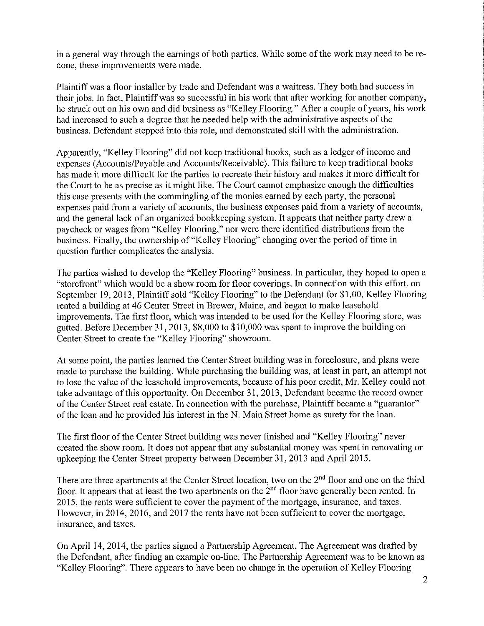in a general way through the earnings of both parties. While some of the work may need to be redone, these improvements were made.

Plaintiff was a floor installer by trade and Defendant was a waitress. They both had success in their jobs. In fact, Plaintiff was so successful in his work that after working for another company, he struck out on his own and did business as "Kelley Flooring." After a couple of years, his work had increased to such a degree that he needed help with the administrative aspects of the business. Defendant stepped into this role, and demonstrated skill with the administration.

Apparently, "Kelley Flooring" did not keep traditional books, such as a ledger of income and expenses (Accounts/Payable and Accounts/Receivable). This failure to keep traditional books has made it more difficult for the parties to recreate their history and makes it more difficult for the Court to be as precise as it might like. The Court cannot emphasize enough the difficulties this case presents with the commingling of the monies earned by each party, the personal expenses paid from a variety of accounts, the business expenses paid from a variety of accounts, and the general lack of an organized bookkeeping system. It appears that neither party drew a paycheck or wages from "Kelley Flooring," nor were there identified distributions from the business. Finally, the ownership of"Kelley Flooring" changing over the period of time in question further complicates the analysis.

The parties wished to develop the "Kelley Flooring" business. In particular, they hoped to open a "storefront" which would be a show room for floor coverings. In connection with this effort, on September 19, 2013, Plaintiff sold "Kelley Flooring" to the Defendant for \$1.00. Kelley Flooring rented a building at 46 Center Street in Brewer, Maine, and began to make leasehold improvements. The first floor, which was intended to be used for the Kelley Flooring store, was gutted. Before December 31, 2013, \$8,000 to \$10,000 was spent to improve the building on Center Street to create the "Kelley Flooring" showroom.

At some point, the parties learned the Center Street building was in foreclosure, and plans were made to purchase the building. While purchasing the building was, at least in part, an attempt not to lose the value of the leasehold improvements, because of his poor credit, Mr. Kelley could not take advantage of this opportunity. On December 31, 2013, Defendant became the record owner of the Center Street real estate. In connection with the purchase, Plaintiff became a "guarantor" of the loan and he provided his interest in the N. Main Street home as surety for the loan.

The first floor of the Center Street building was never finished and "Kelley Flooring" never created the show room. It does not appear that any substantial money was spent in renovating or upkeeping the Center Street property between December 31, 2013 and April 2015.

There are three apartments at the Center Street location, two on the 2<sup>nd</sup> floor and one on the third floor. It appears that at least the two apartments on the  $2<sup>nd</sup>$  floor have generally been rented. In 2015, the rents were sufficient to cover the payment of the mortgage, insurance, and taxes. However, in 2014, 2016, and 2017 the rents have not been sufficient to cover the mortgage, insurance, and taxes.

On April 14, 2014, the parties signed a Partnership Agreement. The Agreement was drafted by the Defendant, after finding an example on-line. The Partnership Agreement was to be known as "Kelley Flooring". There appears to have been no change in the operation of Kelley Flooring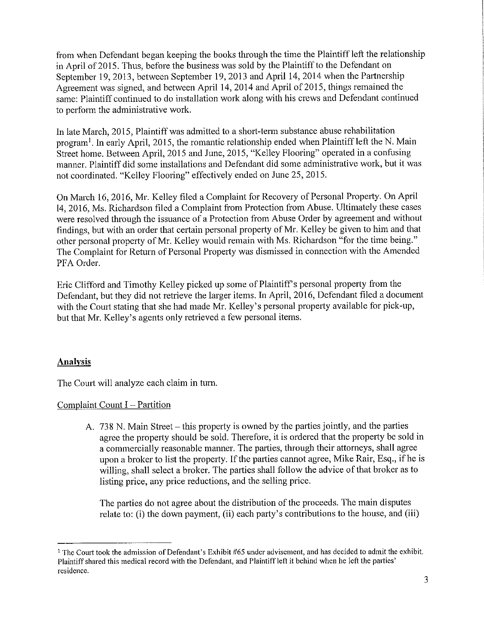from when Defendant began keeping the books through the time the Plaintiff left the relationship in April of 2015. Thus, before the business was sold by the Plaintiff to the Defendant on September 19, 2013, between September 19, 2013 and April 14, 2014 when the Partnership Agreement was signed, and between April 14, 2014 and April of 2015, things remained the same: Plaintiff continued to do installation work along with his crews and Defendant continued to perform the administrative work.

In late March, 2015, Plaintiff was admitted to a short-term substance abuse rehabilitation program<sup>1</sup>. In early April, 2015, the romantic relationship ended when Plaintiff left the N. Main Street home. Between April, 2015 and June, 2015, "Kelley Flooring" operated in a confusing manner. Plaintiff did some installations and Defendant did some administrative work, but it was not coordinated. "Kelley Flooring" effectively ended on June 25, 2015.

On March 16, 2016, Mr. Kelley filed a Complaint for Recovery of Personal Property. On April 14, 2016, Ms. Richardson filed a Complaint from Protection from Abuse. Ultimately these cases were resolved through the issuance of a Protection from Abuse Order by agreement and without findings, but with an order that certain personal property of Mr. Kelley be given to him and that other personal property of Mr. Kelley would remain with Ms. Richardson "for the time being." The Complaint for Return of Personal Property was dismissed in connection with the Amended PFA Order.

Eric Clifford and Timothy Kelley picked up some of Plaintiff's personal property from the Defendant, but they did not retrieve the larger items. In April, 2016, Defendant filed a document with the Court stating that she had made Mr. Kelley's personal property available for pick-up, but that Mr. Kelley's agents only retrieved a few personal items.

# **Analysis**

The Court will analyze each claim in turn.

# Complaint Count I - Partition

A. 738 N. Main Street – this property is owned by the parties jointly, and the parties agree the property should be sold. Therefore, it is ordered that the property be sold in a commercially reasonable manner. The parties, through their attorneys, shall agree upon a broker to list the property. If the parties cannot agree, Mike Rair, Esq., if he is willing, shall select a broker. The parties shall follow the advice of that broker as to listing price, any price reductions, and the selling price.

The parties do not agree about the distribution of the proceeds. The main disputes relate to: (i) the down payment, (ii) each party's contributions to the house, and (iii)

<sup>&</sup>lt;sup>1</sup> The Court took the admission of Defendant's Exhibit #65 under advisement, and has decided to admit the exhibit. Plaintiff shared this medical record with the Defendant, and Plaintiff left it behind when he left the parties' **residence.**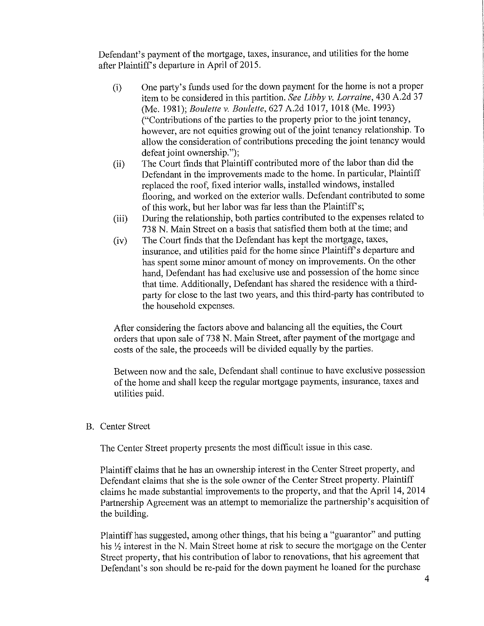Defendant's payment of the mortgage, taxes, insurance, and utilities for the home after Plaintiff's departure in April of 2015.

- (i) One party's funds used for the down payment for the home is not a proper item to be considered in this partition. *See Libby v. Lorraine,* 430 A.2d 37 (Me. 1981); *Boulette v. Boulette,* 627 A.2d 1017, 1018 (Me. 1993) ("Contributions of the parties to the property prior to the joint tenancy, however, are not equities growing out of the joint tenancy relationship. To allow the consideration of contributions preceding the joint tenancy would defeat joint ownership.");
- (ii) The Court finds that Plaintiff contributed more of the labor than did the Defendant in the improvements made to the home. In particular, Plaintiff replaced the roof, fixed interior walls, installed windows, installed flooring, and worked on the exterior walls. Defendant contributed to some of this work, but her labor was far less than the Plaintiff's;
- (iii) During the relationship, both parties contributed to the expenses related to 738 N. Main Street on a basis that satisfied them both at the time; and
- (iv) The Court finds that the Defendant has kept the mortgage, taxes, insurance, and utilities paid for the home since Plaintiff's departure and has spent some minor amount of money on improvements. On the other hand. Defendant has had exclusive use and possession of the home since that time. Additionally, Defendant has shared the residence with a thirdparty for close to the last two years, and this third-party has contributed to the household expenses.

After considering the factors above and balancing all the equities, the Court orders that upon sale of738 N. Main Street, after payment of the mortgage and costs of the sale, the proceeds will be divided equally by the parties.

Between now and the sale, Defendant shall continue to have exclusive possession of the home and shall keep the regular mortgage payments, insurance, taxes and utilities paid.

#### B. Center Street

The Center Street property presents the most difficult issue in this case.

Plaintiff claims that he has an ownership interest in the Center Street property, and Defendant claims that she is the sole owner of the Center Street property. Plaintiff claims he made substantial improvements to the property, and that the April 14, 2014 Partnership Agreement was an attempt to memorialize the partnership's acquisition of the building.

Plaintiff has suggested, among other things, that his being a "guarantor" and putting his  $\frac{1}{2}$  interest in the N. Main Street home at risk to secure the mortgage on the Center Street property, that his contribution of labor to renovations, that his agreement that Defendant's son should be re-paid for the down payment he loaned for the purchase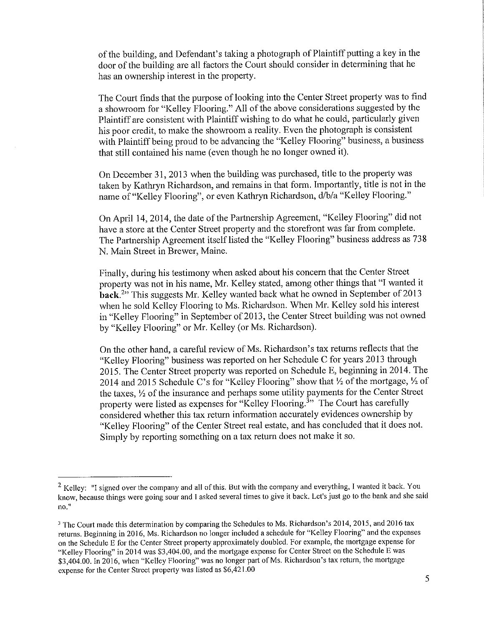of the building, and Defendant's taking a photograph of Plaintiff putting a key in the door ofthe building are all factors the Court should consider in determining that he has an ownership interest in the property.

The Court finds that the purpose of looking into the Center Street property was to find a showroom for "Kelley Flooring." All of the above considerations suggested by the Plaintiff are consistent with Plaintiff wishing to do what he could, particularly given his poor credit, to make the showroom a reality. Even the photograph is consistent with Plaintiff being proud to be advancing the "Kelley Flooring" business, a business that still contained his name ( even though he no longer owned it).

On December 31, 2013 when the building was purchased, title to the property was taken by Kathryn Richardson, and remains in that form. Importantly, title is not in the name of "Kelley Flooring", or even Kathryn Richardson, d/b/a "Kelley Flooring."

On April 14, 2014, the date of the Partnership Agreement, "Kelley Flooring" did not have a store at the Center Street property and the storefront was far from complete. The Partnership Agreement itself listed the "Kelley Flooring" business address as 738 N. Main Street in Brewer, Maine.

Finally, during his testimony when asked about his concern that the Center Street property was not in his name, Mr. Kelley stated, among other things that "I wanted it **back.**2" This suggests Mr. Kelley wanted back what he owned in September of 2013 when he sold Kelley Flooring to Ms. Richardson. When Mr. Kelley sold his interest in "Kelley Flooring" in September of 2013, the Center Street building was not owned by "Kelley Flooring" or Mr. Kelley (or Ms. Richardson).

On the other hand, a careful review of Ms. Richardson's tax returns reflects that the "Kelley Flooring" business was reported on her Schedule C for years 2013 through 2015. The Center Street property was reported on Schedule E, beginning in 2014. The 2014 and 2015 Schedule C's for "Kelley Flooring" show that *'h* of the mortgage, *'h* of the taxes, *'h* of the insurance and perhaps some utility payments for the Center Street property were listed as expenses for "Kelley Flooring.<sup>3</sup>" The Court has carefully considered whether this tax return information accurately evidences ownership by "Kelley Flooring" of the Center Street real estate, and has concluded that it does not. Simply by reporting something on a tax return does not make it so.

 $2$  Kelley: "I signed over the company and all of this. But with the company and everything, I wanted it back. You know, because things were going sour and I asked several times to give it back. Let's just go to the bank and she said **no."** 

<sup>&</sup>lt;sup>3</sup> The Court made this determination by comparing the Schedules to Ms. Richardson's 2014, 2015, and 2016 tax returns. Beginning in 2016, Ms. Richardson no longer included a schedule for "Kelley Flooring"' and the expenses on the Schedule E for the Center Street property approximately doubled. For example, the mortgage expense for "Kelley Flooring" in 2014 was \$3,404.00, and the m01tgage expense for Center Street on the Schedule E was \$3,404.00. In 2016, when "Kelley Flooring" was no longer part of Ms. Richardson's tax return, the mortgage expense for the Center Street property was listed as \$6,421.00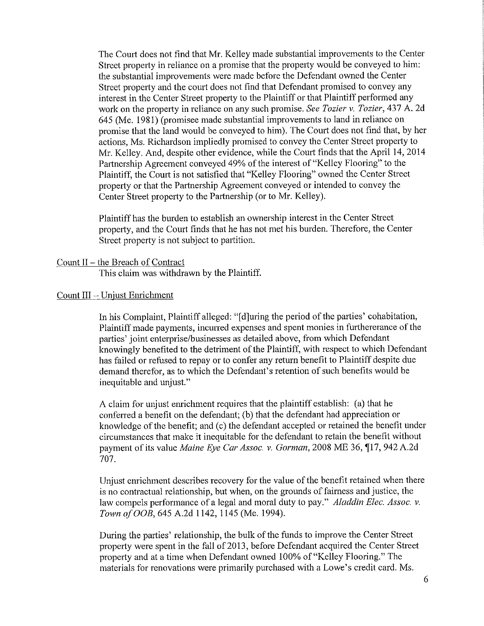The Court does not find that Mr. Kelley made substantial improvements to the Center Street property in reliance on a promise that the property would be conveyed to him: the substantial improvements were made before the Defendant owned the Center Street property and the court does not find that Defendant promised to convey any interest in the Center Street property to the Plaintiff or that Plaintiff performed any work on the property in reliance on any such promise. *See Tozier v. Tozier,* 437 A. 2d 645 (Me. 1981) (promisee made substantial improvements to land in reliance on promise that the land would be conveyed to him). The Court does not find that, by her actions, Ms. Richardson impliedly promised to convey the Center Street property to Mr. Kelley. And, despite other evidence, while the Court finds that the April 14, 2014 Partnership Agreement conveyed 49% of the interest of "Kelley Flooring" to the Plaintiff, the Court is not satisfied that "Kelley Flooring" owned the Center Street property or that the Partnership Agreement conveyed or intended to convey the Center Street property to the Partnership (or to Mr. Kelley).

Plaintiff has the burden to establish an ownership interest in the Center Street property, and the Court finds that he has not met his burden. Therefore, the Center Street property is not subject to partition.

### Count II - the Breach of Contract

This claim was withdrawn by the Plaintiff.

### Count  $III - Unjust Enrichment$

In his Complaint, Plaintiff alleged: "( d]uring the period of the parties' cohabitation, Plaintiff made payments, incurred expenses and spent monies in furthererance of the parties' joint enterprise/businesses as detailed above, from which Defendant knowingly benefited to the detriment of the Plaintiff, with respect to which Defendant has failed or refused to repay or to confer any return benefit to Plaintiff despite due demand therefor, as to which the Defendant's retention of such benefits would be inequitable and unjust."

A claim for unjust enrichment requires that the plaintiff establish: (a) that he conferred a benefit on the defendant; (b) that the defendant had appreciation or knowledge of the benefit; and (c) the defendant accepted or retained the benefit under circumstances that make it inequitable for the defendant to retain the benefit without payment of its value *Maine Eye Car Assoc. v. Gorman*, 2008 ME 36, 117, 942 A.2d 707.

Unjust enrichment describes recovery for the value of the benefit retained when there is no contractual relationship, but when, on the grounds of fairness and justice, the law compels performance of a legal and moral duty to pay." *Aladdin Elec. Assoc. v. Town ofOOB,* 645 A.2d 1142, 1145 (Me. 1994).

During the parties' relationship, the bulk of the funds to improve the Center Street property were spent in the fall of 2013, before Defendant acquired the Center Street property and at a time when Defendant owned 100% of"Kelley Flooring." The materials for renovations were primarily purchased with a Lowe's credit card. Ms.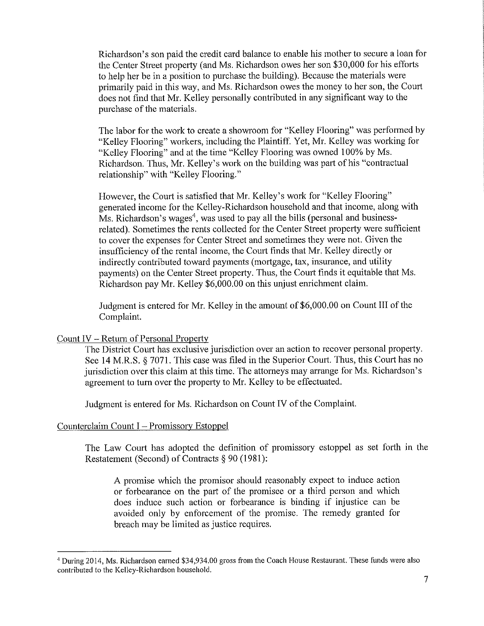Richardson's son paid the credit card balance to enable his mother to secure a loan for the Center Street property (and Ms. Richardson owes her son \$30,000 for his efforts to help her be in a position to purchase the building). Because the materials were primarily paid in this way, and Ms. Richardson owes the money to her son, the Court does not find that Mr. Kelley personally contributed in any significant way to the purchase of the materials.

The labor for the work to create a showroom for "Kelley Flooring" was performed by "Kelley Flooring" workers, including the Plaintiff. Yet, Mr. Kelley was working for "Kelley Flooring" and at the time "Kelley Flooring was owned 100% by Ms. Richardson. Thus, Mr. Kelley's work on the building was part of his "contractual relationship" with "Kelley Flooring."

However, the Court is satisfied that Mr. Kelley's work for "Kelley Flooring" generated income for the Kelley-Richardson household and that income, along with Ms. Richardson's wages<sup>4</sup>, was used to pay all the bills (personal and businessrelated). Sometimes the rents collected for the Center Street property were sufficient to cover the expenses for Center Street and sometimes they were not. Given the insufficiency of the rental income, the Court finds that Mr. Kelley directly or indirectly contributed toward payments (mortgage, tax, insurance, and utility payments) on the Center Street property. Thus, the Court finds it equitable that Ms. Richardson pay Mr. Kelley \$6,000.00 on this unjust emichment claim.

Judgment is entered for Mr. Kelley in the amount of \$6,000.00 on Count III of the Complaint.

## Count IV - Return of Personal Property

The District Court has exclusive jurisdiction over an action to recover personal property. See 14 M.R.S. § 7071. This case was filed in the Superior Court. Thus, this Court has no jurisdiction over this claim at this time. The attorneys may arrange for Ms. Richardson's agreement to turn over the property to Mr. Kelley to be effectuated.

Judgment is entered for Ms. Richardson on Count IV of the Complaint.

## Counterclaim Count  $I$  – Promissory Estoppel

The Law Court has adopted the definition of promissory estoppel as set forth in the Restatement (Second) of Contracts § 90 (1981):

A promise which the promisor should reasonably expect to induce action or forbearance on the part of the promisee or a third person and which does induce such action or forbearance is binding if injustice can be avoided only by enforcement of the promise. The remedy granted for breach may be limited as justice requires.

<sup>4</sup>During 2014, Ms. Richardson earned \$34,934.00 gross from the Coach House Restaurant. These funds were also contributed to the Kelley-Richardson household.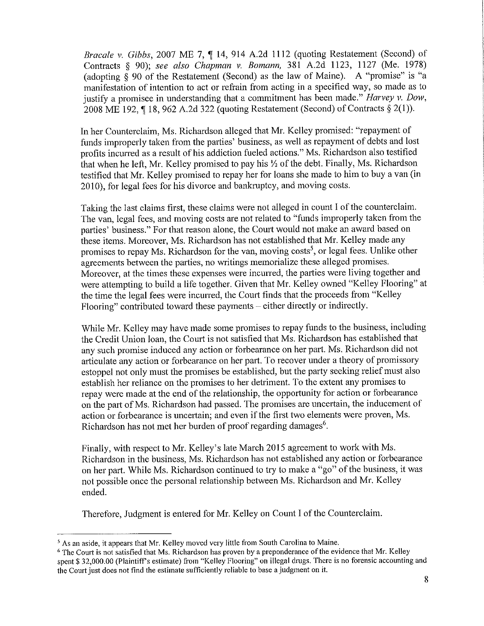*Bracale v. Gibbs, 2007 ME 7, 14, 914 A.2d 1112 (quoting Restatement (Second) of* Contracts § 90); *see also Chapman v. Bomann,* 381 A.2d 1123, 1127 (Me. 1978) (adopting § 90 of the Restatement (Second) as the law of Maine). A "promise" is "a manifestation of intention to act or refrain from acting in a specified way, so made as to justify a promisee in understanding that a commitment has been made." *Harvey v. Dow*, 2008 ME 192,  $\P$  18, 962 A.2d 322 (quoting Restatement (Second) of Contracts  $\S$  2(1)).

In her Counterclaim, Ms. Richardson alleged that Mr. Kelley promised: "repayment of funds improperly taken from the parties' business, as well as repayment of debts and lost profits incurred as a result of his addiction fueled actions." Ms. Richardson also testified that when he left, Mr. Kelley promised to pay his *Yz* of the debt. Finally, Ms. Richardson testified that Mr. Kelley promised to repay her for loans she made to him to buy a van (in 2010), for legal fees for his divorce and bankruptcy, and moving costs.

Taking the last claims first, these claims were not alleged in count I of the counterclaim. The van, legal fees, and moving costs are not related to "funds improperly taken from the parties' business." For that reason alone, the Court would not make an award based on these items. Moreover, Ms. Richardson has not established that Mr. Kelley made any promises to repay Ms. Richardson for the van, moving costs<sup>5</sup>, or legal fees. Unlike other agreements between the parties, no writings memorialize these alleged promises. Moreover, at the times these expenses were incurred, the parties were living together and were attempting to build a life together. Given that Mr. Kelley owned "Kelley Flooring" at the time the legal fees were incurred, the Court finds that the proceeds from "Kelley Flooring" contributed toward these payments – either directly or indirectly.

While Mr. Kelley may have made some promises to repay funds to the business, including the Credit Union loan, the Court is not satisfied that Ms. Richardson has established that any such promise induced any action or forbearance on her part. Ms. Richardson did not articulate any action or forbearance on her part. To recover under a theory of promissory estoppel not only must the promises be established, but the party seeking relief must also establish her reliance on the promises to her detriment. To the extent any promises to repay were made at the end of the relationship, the opportunity for action or forbearance on the part of Ms. Richardson had passed. The promises are uncertain, the inducement of action or forbearance is uncertain; and even if the first two elements were proven, Ms. Richardson has not met her burden of proof regarding damages $^6$ .

Finally, with respect to Mr. Kelley's late March 2015 agreement to work with Ms. Richardson in the business, Ms. Richardson has not established any action or forbearance on her pati. While Ms. Richardson continued to try to make a "go" of the business, it was not possible once the personal relationship between Ms. Richardson and Mr. Kelley ended.

Therefore, Judgment is entered for Mr. Kelley on Count I of the Counterclaim.

<sup>&</sup>lt;sup>5</sup> As an aside, it appears that Mr. Kelley moved very little from South Carolina to Maine.

<sup>&</sup>lt;sup>6</sup> The Court is not satisfied that Ms. Richardson has proven by a preponderance of the evidence that Mr. Kelley spent \$32,000.00 (Plaintiff's estimate) from "Kelley Flooring" on illegal drugs. There is no forensic accounting and the Court just does not find the estimate sufficiently reliable to base a judgment on it.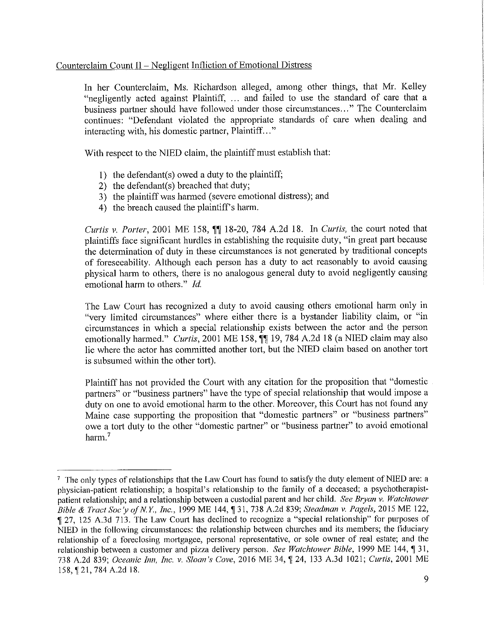## Counterclaim Count II – Negligent Infliction of Emotional Distress

In her Counterclaim, Ms. Richardson alleged, among other things, that Mr. Kelley "negligently acted against Plaintiff, ... and failed to use the standard of care that a business partner should have followed under those circumstances ... " The Counterclaim continues: "Defendant violated the appropriate standards of care when dealing and interacting with, his domestic partner, Plaintiff..."

With respect to the NIED claim, the plaintiff must establish that:

- 1) the defendant( $s$ ) owed a duty to the plaintiff;
- 2) the defendant(s) breached that duty;
- 3) the plaintiff was harmed (severe emotional distress); and
- 4) the breach caused the plaintiff's harm.

*Curtis v. Porter*, 2001 ME 158,  $\P$  18-20, 784 A.2d 18. In *Curtis*, the court noted that plaintiffs face significant hurdles in establishing the requisite duty, "in great part because the determination of duty in these circumstances is not generated by traditional concepts of foreseeability. Although each person has a duty to act reasonably to avoid causing physical harm to others, there is no analogous general duty to avoid negligently causing emotional harm to others." *Id.* 

The Law Court has recognized a duty to avoid causing others emotional harm only in "very limited circumstances" where either there is a bystander liability claim, or "in circumstances in which a special relationship exists between the actor and the person emotionally harmed." *Curtis*, 2001 ME 158,  $\P\P$  19, 784 A.2d 18 (a NIED claim may also lie where the actor has committed another tort, but the NIED claim based on another tort is subsumed within the other tort).

Plaintiff has not provided the Court with any citation for the proposition that "domestic partners" or "business partners" have the type of special relationship that would impose a duty on one to avoid emotional harm to the other. Moreover, this Court has not found any Maine case supporting the proposition that "domestic partners" or "business partners" owe a tort duty to the other "domestic partner" or "business partner" to avoid emotional harm<sup>7</sup>

 $<sup>7</sup>$  The only types of relationships that the Law Court has found to satisfy the duty element of NIED are: a</sup> physician-patient relationship; a hospital's relationship to the family of a deceased; a psychotherapistpatient relationship; and a relationship between a custodial parent and her child. *See B1yan v. Watchtower Bible & Tract Soc'y of N.Y., Inc., 1999 ME 144,* 131, 738 A.2d 839; *Steadman v. Pagels, 2015 ME 122,* , 27, 125 A.3d 713. The Law Comt has declined to recognize a "special relationship" for purposes of NIED in the following circumstances: the relationship between churches and its members; the fiduciary relationship of a foreclosing mortgagee, personal representative, or sole owner of real estate; and the relationship between a customer and pizza delivery person. *See Watchtower Bible*, 1999 ME 144, 131, 738 A.2d 839; *Oceanic Inn, Inc. v. Sloan's Cove*, 2016 ME 34, ¶ 24, 133 A.3d 1021; *Curtis*, 2001 ME 158,121, 784A.2d 18.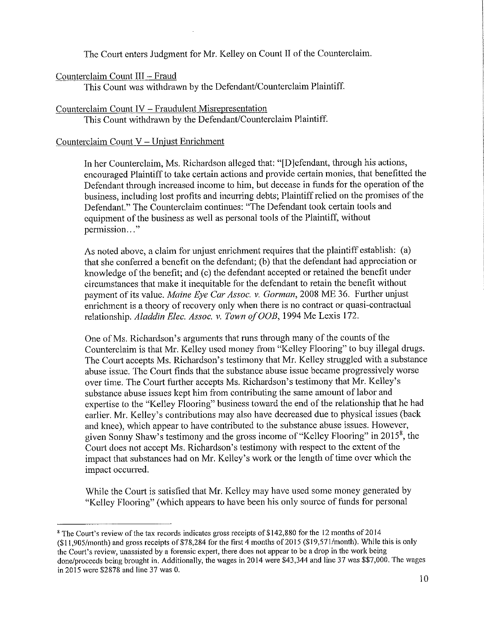The Court enters Judgment for Mr. Kelley on Count II of the Counterclaim.

# Counterclaim Count III - Fraud

This Count was withdrawn by the Defendant/Counterclaim Plaintiff.

# Counterclaim Count IV - Fraudulent Misrepresentation

This Count withdrawn by the Defendant/Counterclaim Plaintiff.

# Counterclaim Count V - Unjust Enrichment

In her Counterclaim, Ms. Richardson alleged that: "[D]efendant, through his actions, encouraged Plaintiff to take certain actions and provide certain monies, that benefitted the Defendant through increased income to him, but decease in funds for the operation of the business, including lost profits and incurring debts; Plaintiff relied on the promises of the Defendant." The Counterclaim continues: "The Defendant took certain tools and equipment of the business as well as personal tools of the Plaintiff, without permission... "

As noted above, a claim for unjust enrichment requires that the plaintiff establish: (a) that she conferred a benefit on the defendant; (b) that the defendant had appreciation or knowledge of the benefit; and (c) the defendant accepted or retained the benefit under circumstances that make it inequitable for the defendant to retain the benefit without payment of its value. *Maine Eye Car Assoc. v. Gorman,* 2008 ME 36. Further unjust enrichment is a theory of recovery only when there is no contract or quasi-contractual relationship. *Aladdin Elec. Assoc. v. Town of OOB*, 1994 Me Lexis 172.

One of Ms. Richardson's arguments that runs through many of the counts of the Counterclaim is that Mr. Kelley used money from "Kelley Flooring" to buy illegal drugs. The Court accepts Ms. Richardson's testimony that Mr. Kelley struggled with a substance abuse issue. The Court finds that the substance abuse issue became progressively worse over time. The Court further accepts Ms. Richardson's testimony that Mr. Kelley's substance abuse issues kept him from contributing the same amount of labor and expertise to the "Kelley Flooring" business toward the end of the relationship that he had earlier. Mr. Kelley's contributions may also have decreased due to physical issues (back and knee), which appear to have contributed to the substance abuse issues. However, given Sonny Shaw's testimony and the gross income of "Kelley Flooring" in 2015<sup>8</sup>, the Court does not accept Ms. Richardson's testimony with respect to the extent of the impact that substances had on Mr. Kelley's work or the length of time over which the impact occurred.

While the Court is satisfied that Mr. Kelley may have used some money generated by "Kelley Flooring" (which appears to have been his only source of funds for personal

<sup>&</sup>lt;sup>8</sup> The Court's review of the tax records indicates gross receipts of \$142,880 for the 12 months of 2014  $(11,905/month)$  and gross receipts of \$78,284 for the first 4 months of 2015 (\$19,571/month). While this is only **the Court's review, unassisted by a forensic expet1, there does not appear to be a drop in the work being**  done/proceeds being brought in. Additionally, the wages in 2014 were \$43,344 and line 37 was \$\$7,000. The wages in 2015 were \$2878 and line 37 was 0.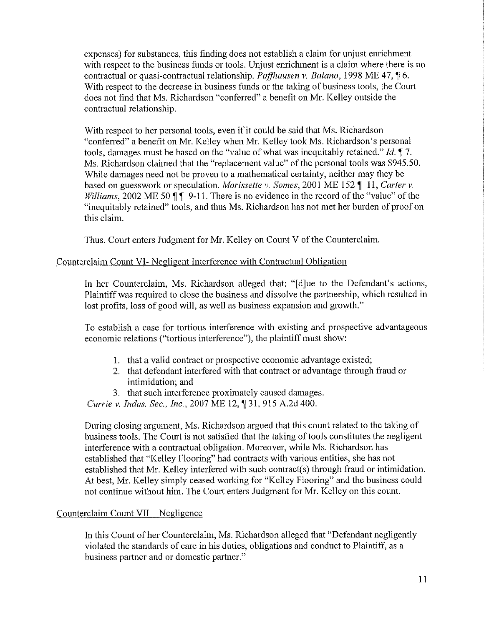expenses) for substances, this finding does not establish a claim for unjust emichment with respect to the business funds or tools. Unjust enrichment is a claim where there is no contractual or quasi-contractual relationship. *Paffhausen v. Balano*, 1998 ME 47, 16. With respect to the decrease in business funds or the taking of business tools, the Court does not find that Ms. Richardson "conferred" a benefit on Mr. Kelley outside the contractual relationship.

With respect to her personal tools, even if it could be said that Ms. Richardson "conferred" a benefit on Mr. Kelley when Mr. Kelley took Ms. Richardson's personal tools, damages must be based on the "value of what was inequitably retained." *Id.* 17. Ms. Richardson claimed that the "replacement value" of the personal tools was \$945.50. While damages need not be proven to a mathematical certainty, neither may they be based on guesswork or speculation. *Morissette* v. *Somes,* 2001 ME 152 **,i** 11, *Carter* v. *Williams, 2002 ME 50* **| |** 9-11. There is no evidence in the record of the "value" of the "inequitably retained" tools, and thus Ms. Richardson has not met her burden of proof on this claim.

Thus, Court enters Judgment for Mr. Kelley on Count V of the Counterclaim.

## Counterclaim Count VI- Negligent Interference with Contractual Obligation

In her Counterclaim, Ms. Richardson alleged that: "[d]ue to the Defendant's actions, Plaintiff was required to close the business and dissolve the partnership, which resulted in lost profits, loss of good will, as well as business expansion and growth."

To establish a case for tortious interference with existing and prospective advantageous economic relations ("tortious interference"), the plaintiff must show:

- 1. that a valid contract or prospective economic advantage existed;
- 2. that defendant interfered with that contract or advantage through fraud or intimidation; and
- 3. that such interference proximately caused damages.

*Currie v. Indus. Sec., Inc., 2007 ME 12,* 131, 915 A.2d 400.

During closing argument, Ms. Richardson argued that this count related to the taking of business tools. The Court is not satisfied that the taking of tools constitutes the negligent interference with a contractual obligation. Moreover, while Ms. Richardson has established that "Kelley Flooring" had contracts with various entities, she has not established that Mr. Kelley interfered with such contract(s) through fraud or intimidation. At best, Mr. Kelley simply ceased working for "Kelley Flooring" and the business could not continue without him. The Court enters Judgment for Mr. Kelley on this count.

## Counterclaim Count  $VII - Negligence$

In this Count of her Counterclaim, Ms. Richardson alleged that "Defendant negligently violated the standards of care in his duties, obligations and conduct to Plaintiff, as a business partner and or domestic partner."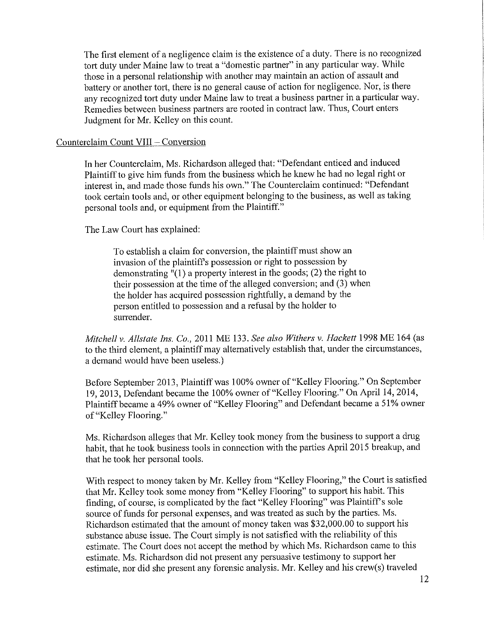The first element of a negligence claim is the existence of a duty. There is no recognized tort duty under Maine law to treat a "domestic partner" in any particular way. While those in a personal relationship with another may maintain an action of assault and battery or another tort, there is no general cause of action for negligence. Nor, is there any recognized tort duty under Maine law to treat a business partner in a particular way. Remedies between business partners are rooted in contract law. Thus, Court enters Judgment for Mr. Kelley on this count.

### Counterclaim Count VIII - Conversion

In her Counterclaim, Ms. Richardson alleged that: "Defendant enticed and induced Plaintiff to give him funds from the business which he knew he had no legal right or interest in, and made those funds his own." The Counterclaim continued: "Defendant took certain tools and, or other equipment belonging to the business, as well as taking personal tools and, or equipment from the Plaintiff."

The Law Court has explained:

To establish a claim for conversion, the plaintiff must show an invasion of the plaintiff's possession or right to possession by demonstrating  $\sqrt[n]{(1)}$  a property interest in the goods; (2) the right to their possession at the time of the alleged conversion; and (3) when the holder has acquired possession rightfully, a demand by the person entitled to possession and a refusal by the holder to surrender.

*Mitchell v. Allstate Ins. Co.,* 2011 ME 133. *See also Withers v. Hackett* 1998 ME 164 (as to the third element, a plaintiff may alternatively establish that, under the circumstances, a demand would have been useless.)

Before September 2013, Plaintiff was 100% owner of "Kelley Flooring." On September 19, 2013, Defendant became the 100% owner of"Kelley Flooring." On April 14, 2014, Plaintiff became a 49% owner of "Kelley Flooring" and Defendant became a 51 % owner of "Kelley Flooring."

Ms. Richardson alleges that Mr. Kelley took money from the business to support a drug habit, that he took business tools in connection with the parties April 2015 breakup, and that he took her personal tools.

With respect to money taken by Mr. Kelley from "Kelley Flooring," the Court is satisfied that Mr. Kelley took some money from "Kelley Flooring" to support his habit. This finding, of course, is complicated by the fact "Kelley Flooring" was Plaintiffs sole source of funds for personal expenses, and was treated as such by the parties. Ms. Richardson estimated that the amount of money taken was \$32,000.00 to support his substance abuse issue. The Court simply is not satisfied with the reliability of this estimate. The Court does not accept the method by which Ms. Richardson came to this estimate. Ms. Richardson did not present any persuasive testimony to support her estimate, nor did she present any forensic analysis. Mr. Kelley and his crew(s) traveled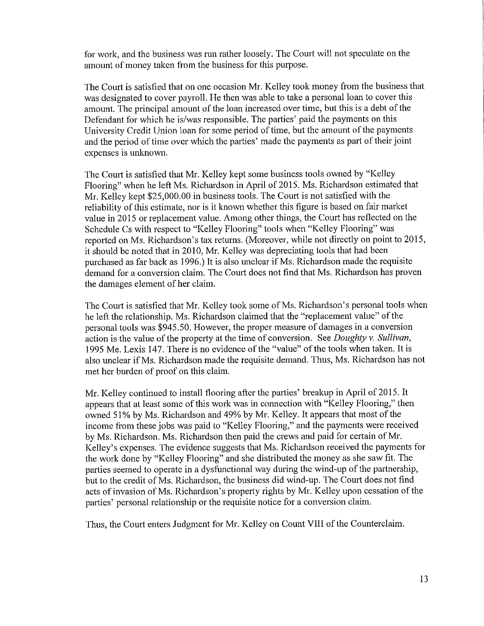for work, and the business was run rather loosely. The Court will not speculate on the amount of money taken from the business for this purpose.

The Court is satisfied that on one occasion Mr. Kelley took money from the business that was designated to cover payroll. He then was able to take a personal loan to cover this amount. The principal amount of the loan increased over time, but this is a debt of the Defendant for which he is/was responsible. The parties' paid the payments on this University Credit Union loan for some period of time, but the amount of the payments and the period of time over which the parties' made the payments as part of their joint expenses is unknown.

The Court is satisfied that Mr. Kelley kept some business tools owned by "Kelley Flooring" when he left Ms. Richardson in April of 2015. Ms. Richardson estimated that Mr. Kelley kept \$25,000.00 in business tools. The Court is not satisfied with the reliability of this estimate, nor is it known whether this figure is based on fair market value in 2015 or replacement value. Among other things, the Court has reflected on the Schedule Cs with respect to "Kelley Flooring" tools when "Kelley Flooring" was reported on Ms. Richardson's tax returns. (Moreover, while not directly on point to 2015, it should be noted that in 2010, Mr. Kelley was depreciating tools that had been purchased as far back as 1996.) It is also unclear if Ms. Richardson made the requisite demand for a conversion claim. The Court does not find that Ms. Richardson has proven the damages element of her claim.

The Court is satisfied that Mr. Kelley took some of Ms. Richardson's personal tools when he left the relationship. Ms. Richardson claimed that the "replacement value" of the personal tools was \$945.50. However, the proper measure of damages in a conversion action is the value of the property at the time of conversion. See *Doughty v. Sullivan*, 1995 Me. Lexis 147. There is no evidence of the "value" of the tools when taken. It is also unclear if Ms. Richardson made the requisite demand. Thus, Ms. Richardson has not met her burden of proof on this claim.

Mr. Kelley continued to install flooring after the parties' breakup in April of 2015. It appears that at least some of this work was in connection with "Kelley Flooring," then owned 51% by Ms. Richardson and 49% by Mr. Kelley. It appears that most of the income from these jobs was paid to "Kelley Flooring," and the payments were received by Ms. Richardson. Ms. Richardson then paid the crews and paid for certain of Mr. Kelley's expenses. The evidence suggests that Ms. Richardson received the payments for the work done by "Kelley Flooring" and she distributed the money as she saw fit. The parties seemed to operate in a dysfunctional way during the wind-up of the partnership, but to the credit of Ms. Richardson, the business did wind-up. The Court does not find acts of invasion of Ms. Richardson's property rights by Mr. Kelley upon cessation of the parties' personal relationship or the requisite notice for a conversion claim.

Thus, the Court enters Judgment for Mr. Kelley on Count VIII of the Counterclaim.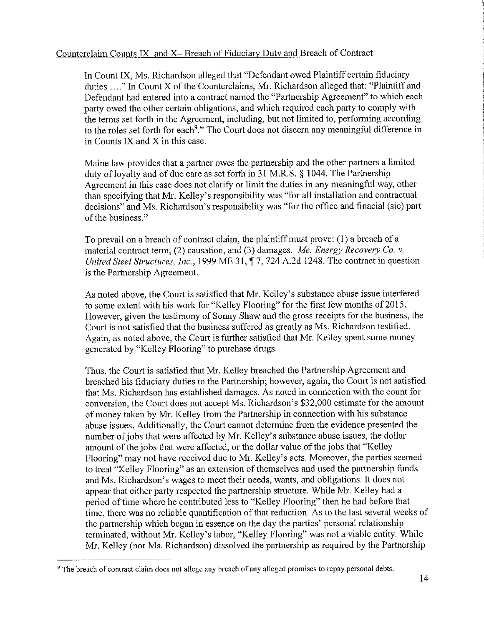## Counterclaim Counts IX and X- Breach of Fiduciary Duty and Breach of Contract

In Count IX, Ms. Richardson alleged that "Defendant owed Plaintiff certain fiduciary duties ...." In Count X of the Counterclaims, Mr. Richardson alleged that: "Plaintiff and Defendant had entered into a contract named the "Partnership Agreement" to which each party owed the other certain obligations, and which required each party to comply with the terms set forth in the Agreement, including, but not limited to, performing according to the roles set forth for each<sup>9</sup>." The Court does not discern any meaningful difference in in Counts IX and X in this case.

Maine law provides that a partner owes the partnership and the other partners a limited duty of loyalty and of due care as set forth in 31 M.R.S. § 1044. The Partnership Agreement in this case does not clarify or limit the duties in any meaningful way, other than specifying that Mr. Kelley's responsibility was "for all installation and contractual decisions" and Ms. Richardson's responsibility was "for the office and finacial (sic) part of the business."

To prevail on a breach of contract claim, the plaintiff must prove: (1) a breach of a material contract term, (2) causation, and (3) damages. *Me. Energy Recovery Co. v. United Steel Structures, Inc.,* 1999 ME 31,  $\P$  7, 724 A.2d 1248. The contract in question is the Partnership Agreement.

As noted above, the Court is satisfied that Mr. Kelley's substance abuse issue interfered to some extent with his work for "Kelley Flooring" for the first few months of 2015. However, given the testimony of Sonny Shaw and the gross receipts for the business, the Court is not satisfied that the business suffered as greatly as Ms. Richardson testified. Again, as noted above, the Court is further satisfied that Mr. Kelley spent some money generated by "Kelley Flooring" to purchase drugs.

Thus, the Court is satisfied that Mr. Kelley breached the Partnership Agreement and breached his fiduciary duties to the Partnership; however, again, the Court is not satisfied that Ms. Richardson has established damages. As noted in connection with the count for conversion, the Court does not accept Ms. Richardson's \$32,000 estimate for the amount of money taken by Mr. Kelley from the Partnership in connection with his substance abuse issues. Additionally, the Court cannot determine from the evidence presented the number of jobs that were affected by Mr. Kelley's substance abuse issues, the dollar amount of the jobs that were affected, or the dollar value of the jobs that "Kelley" Flooring" may not have received due to Mr. Kelley's acts. Moreover, the parties seemed to treat "Kelley Flooring" as an extension of themselves and used the partnership funds and Ms. Richardson's wages to meet their needs, wants, and obligations. It does not appear that either party respected the partnership structure. While Mr. Kelley had a period of time where he contributed less to "Kelley Flooring" then he had before that time, there was no reliable quantification of that reduction. As to the last several weeks of the partnership which began in essence on the day the parties' personal relationship terminated, without Mr. Kelley's labor, "Kelley Flooring" was not a viable entity. While Mr. Kelley (nor Ms. Richardson) dissolved the partnership as required by the Partnership

<sup>&</sup>lt;sup>9</sup> The breach of contract claim does not allege any breach of any alleged promises to repay personal debts.